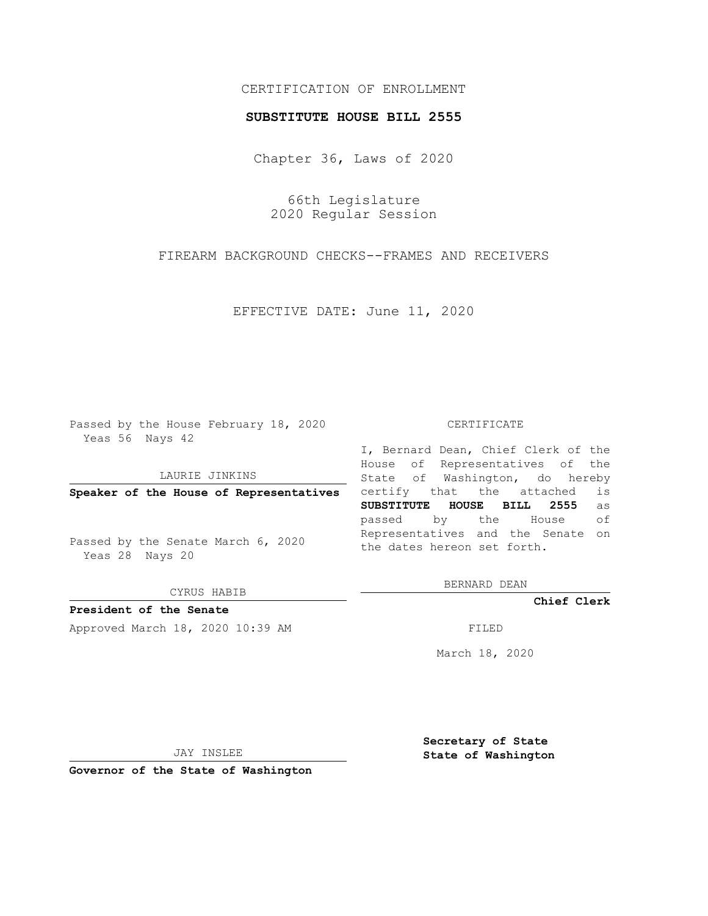## CERTIFICATION OF ENROLLMENT

## **SUBSTITUTE HOUSE BILL 2555**

Chapter 36, Laws of 2020

66th Legislature 2020 Regular Session

FIREARM BACKGROUND CHECKS--FRAMES AND RECEIVERS

EFFECTIVE DATE: June 11, 2020

Passed by the House February 18, 2020 Yeas 56 Nays 42

LAURIE JINKINS

**Speaker of the House of Representatives**

Passed by the Senate March 6, 2020 Yeas 28 Nays 20

CYRUS HABIB

**President of the Senate**

Approved March 18, 2020 10:39 AM FILED

## CERTIFICATE

I, Bernard Dean, Chief Clerk of the House of Representatives of the State of Washington, do hereby certify that the attached is **SUBSTITUTE HOUSE BILL 2555** as passed by the House of Representatives and the Senate on the dates hereon set forth.

BERNARD DEAN

**Chief Clerk**

March 18, 2020

JAY INSLEE

**Governor of the State of Washington**

**Secretary of State State of Washington**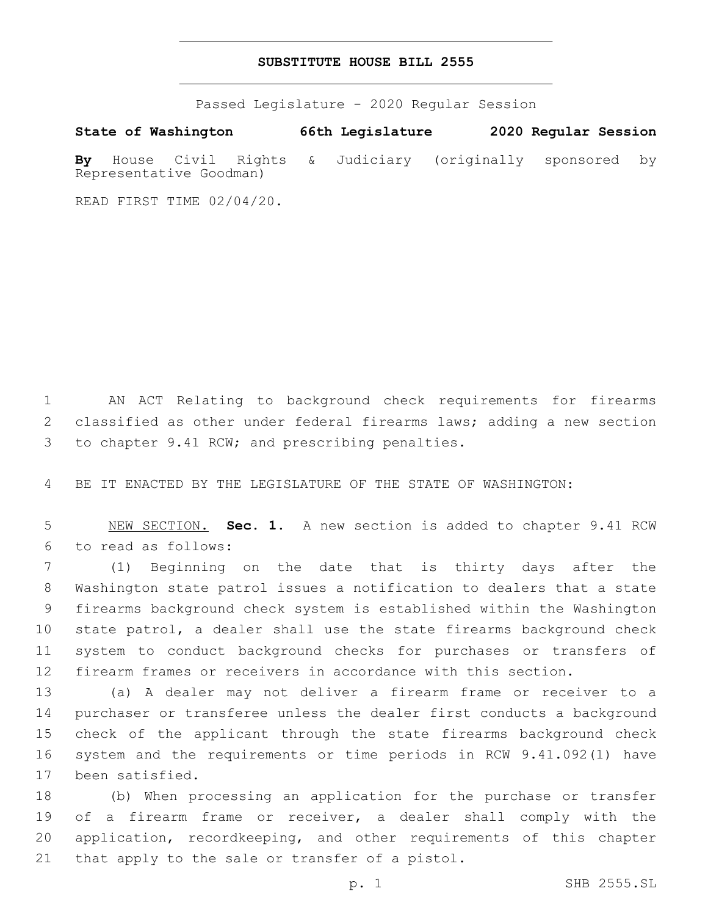## **SUBSTITUTE HOUSE BILL 2555**

Passed Legislature - 2020 Regular Session

**State of Washington 66th Legislature 2020 Regular Session By** House Civil Rights & Judiciary (originally sponsored by Representative Goodman)

READ FIRST TIME 02/04/20.

 AN ACT Relating to background check requirements for firearms classified as other under federal firearms laws; adding a new section 3 to chapter 9.41 RCW; and prescribing penalties.

BE IT ENACTED BY THE LEGISLATURE OF THE STATE OF WASHINGTON:

 NEW SECTION. **Sec. 1.** A new section is added to chapter 9.41 RCW to read as follows:6

 (1) Beginning on the date that is thirty days after the Washington state patrol issues a notification to dealers that a state firearms background check system is established within the Washington state patrol, a dealer shall use the state firearms background check system to conduct background checks for purchases or transfers of firearm frames or receivers in accordance with this section.

 (a) A dealer may not deliver a firearm frame or receiver to a purchaser or transferee unless the dealer first conducts a background check of the applicant through the state firearms background check system and the requirements or time periods in RCW 9.41.092(1) have 17 been satisfied.

 (b) When processing an application for the purchase or transfer of a firearm frame or receiver, a dealer shall comply with the application, recordkeeping, and other requirements of this chapter 21 that apply to the sale or transfer of a pistol.